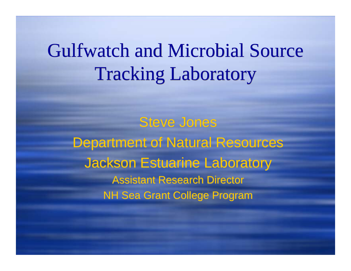## Gulfwatch and Microbial Source Gulfwatch and Microbial Source Tracking Laboratory Tracking Laboratory

Steve Jones Steve Jones Department of Natural Resources Department of Natural Resources Jackson Estuarine Laboratory Jackson Estuarine Laboratory Assistant Research Director Assistant Research DirectorNH Sea Grant College Program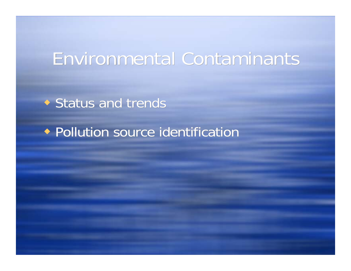#### Environmental Contaminants Environmental Contaminants

Status and trends Status and trends

Pollution source identification Pollution source identification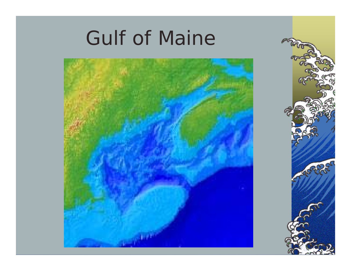# Gulf of Maine



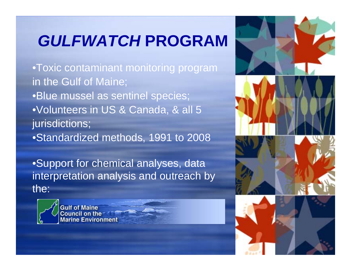### *GULFWATCH* **PROGRAM**

•Toxic contaminant monitoring program in the Gulf of Maine; •Blue mussel as sentinel species; •Volunteers in US & Canada, & all 5 jurisdictions; •Standardized methods, 1991 to 2008

•Support for chemical analyses, data interpretation analysis and outreach by the:



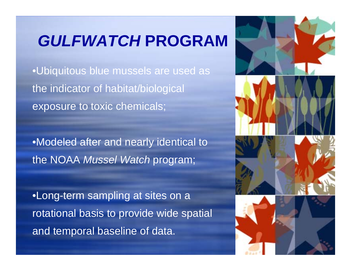#### *GULFWATCH* **PROGRAM**

•Ubiquitous blue mussels are used as the indicator of habitat/biological exposure to toxic chemicals;

•Modeled after and nearly identical to the NOAA *Mussel Watch* program;

•Long-term sampling at sites on a rotational basis to provide wide spatial and temporal baseline of data.

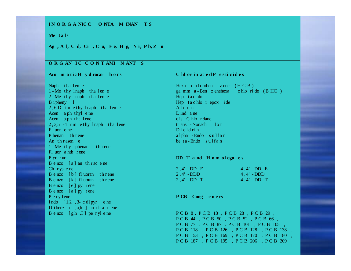#### **I N O R G A NIC C O NTA M INAN T S**

#### **Me t a l s**

#### Ag, Al, Cd, Cr, Cu, Fe, Hg, Ni, Pb, Zn

#### **O R G AN I C C O N T AMI N ANT S**

Naph tha l en e Hexa c h l oroben z ene (H C B )  $2 - Me$  thy lnaph tha len e Hep t a c hlo r B i pheny l Hep t a c hlo r epox i de 2,6-D im e thy lnaph tha len e A ld rin Acen a ph t hyl e ne L ind a ne Acen a ph t ha l ene c is - C hlo r dane c is - C hlo r dane  $2, 3.5$  - T rim e thy lnaph tha lene tr ans - Nonach lor Fl uor <sup>e</sup> neP henan th r ene An thrasen  $e$ 1 - Me thy 1 phenan th r ene Fl uor <sup>a</sup> nth <sup>r</sup> ene P yr <sup>e</sup> ne **DD T <sup>a</sup> nd H <sup>o</sup> <sup>m</sup> <sup>o</sup> l ogu <sup>e</sup> <sup>s</sup>** B e nzo  $[a]$  an th r ac e ne  $Ch$  r ys  $e$  ne  $B$  e nzo  $[b]$  fl uoran th r ene  $B$  e nzo  $[k]$  fl uoran th r ene B <sup>e</sup> nzo [ <sup>e</sup> ] py <sup>r</sup> ene B <sup>e</sup> nzo [ <sup>a</sup> ] py <sup>r</sup> ene P <sup>e</sup> <sup>r</sup> y l ene **P CB Cong <sup>e</sup> <sup>n</sup> <sup>e</sup> rs** Indo  $\begin{bmatrix} 1,2,3-c \end{bmatrix}$  pyr e ne D i benz e [a,h ] an thra c ene

#### Aro maticH ydrocar bons ChlorinatedP esticides

1 - Me thy lnaph tha len e ga mm a - Ben z enehexa c hlo ri de (BHC) D i e l d ri n a l pha - Endo sulfan be  $ta$ -Endo sulfan

| $2.4'$ -DD E | $4.4'$ -DD E |
|--------------|--------------|
| $2,4'$ -DDD  | $4,4'$ - DDD |
| $2,4'$ -DD T | $4,4'$ -DD T |

B e nzo [g,h ,I] pe r yl e ne P C B 8, P C B 18, P C B 28, P C B 29, P C B 44 , P C B 50 , P C B 52 , P C B 66 , P C B 77 , P C B 87 , P C B 101 , P C B 105 , P C B 118 , P C B 126 , P C B 128 , P C B 138 , P C B 153 , P C B 169 , P C B 170 , P C B 180 , P C B 187 , P C B 195 , P C B 206 , P C B 209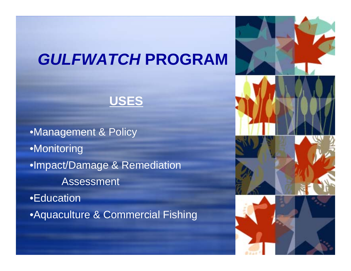#### *GULFWATCH* **PROGRAM**



•Management & Policy •Monitoring •Impact/Damage & Remediation Assessment •Education •Aquaculture & Commercial Fishing

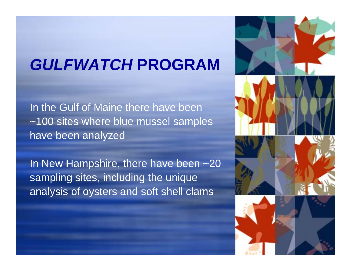#### *GULFWATCH* **PROGRAM**

In the Gulf of Maine there have been ~100 sites where blue mussel samples have been analyzed

In New Hampshire, there have been ~20 sampling sites, including the unique analysis of oysters and soft shell clams

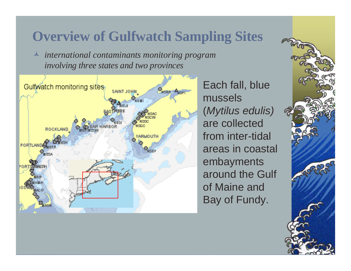#### **Overview of Gulfwatch Sampling Sites**

 *international contaminants monitoring program involving three states and two provinces*



Each fall, blue mussels(*Mytilus edulis)* are collected from inter-tidal areas in coastal embayments around the Gulf of Maine and Bay of Fundy.

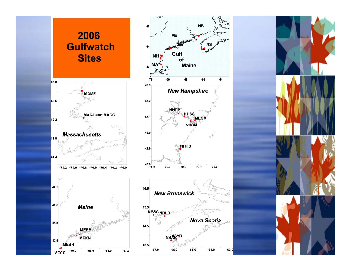



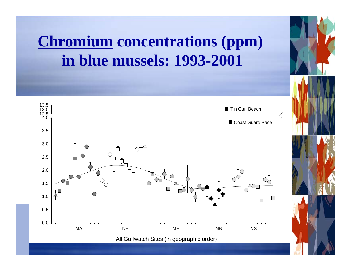#### **Chromium concentrations (ppm) in blue mussels: 1993-2001**

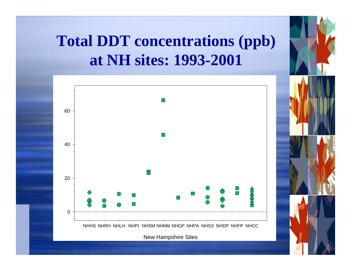#### **Total DDT concentrations (ppb) at NH sites: 1993-2001**



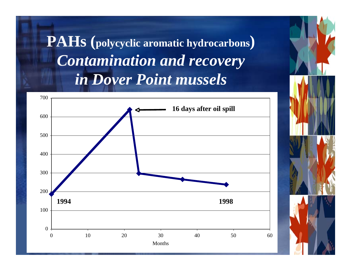#### **PAHs (polycyclic aromatic hydrocarbons)** *Contamination and recovery in Dover Point mussels*



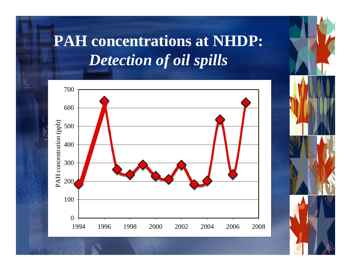#### **PAH concentrations at NHDP:** *Detection of oil spills*



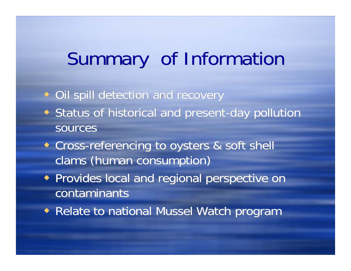## Summary of Information

Oil spill detection and recovery Oil spill detection and recovery

- Status of historical and present-day pollution Status of historical and present-day pollution sources
- Cross-referencing to oysters & soft shell Cross-referencing to oysters & soft shell clams (human consumption) clams (human consumption)
- Provides local and regional perspective on Provides local and regional perspective on contaminants contaminants
- Relate to national Mussel Watch program Relate to national Mussel Watch program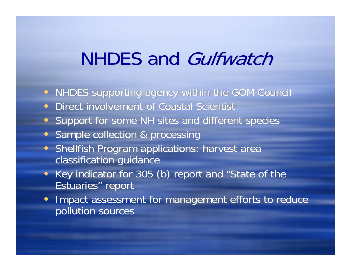### NHDES and *Gulfwatch*

- NHDES supporting agency within the GOM Council NHDES supporting agency within the GOM Council
- Direct involvement of Coastal Scientist Direct involvement of Coastal Scientist
- Support for some NH sites and different species Support for some NH sites and different species
- Sample collection & processing Sample collection & processing
- Shellfish Program applications: harvest area Shellfish Program applications: harvest area classification guidance classification guidance
- Key indicator for 305 (b) report and "State of the Estuaries" report Estuaries" report
- Impact assessment for management efforts to reduce Impact assessment for management efforts to reduce pollution sourcespollution sources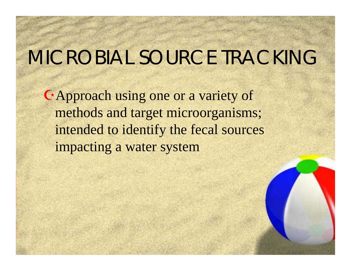### MICROBIAL SOURCE TRACKING

Approach using one or a variety of methods and target microorganisms; intended to identify the fecal sources impacting a water system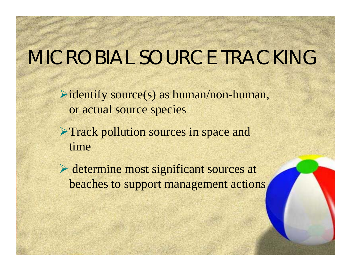## MICROBIAL SOURCE TRACKING

 $\triangleright$  identify source(s) as human/non-human, or actual source species

**Track pollution sources in space and** time

 determine most significant sources at beaches to support management actions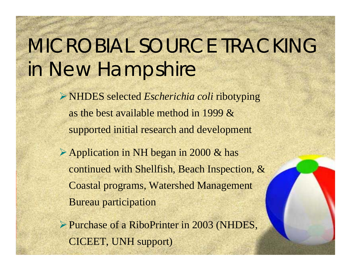# MICROBIAL SOURCE TRACKING in New Hampshire

NHDES selected *Escherichia coli* ribotyping as the best available method in 1999 & supported initial research and development

Application in NH began in 2000 & has continued with Shellfish, Beach Inspection, & Coastal programs, Watershed Management Bureau participation

Purchase of a RiboPrinter in 2003 (NHDES, CICEET, UNH support)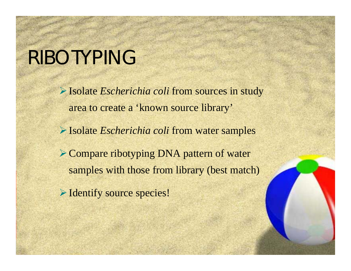### RIBOTYPING

Isolate *Escherichia coli* from sources in study area to create a 'known source library' Isolate *Escherichia coli* from water samples **► Compare ribotyping DNA pattern of water** samples with those from library (best match) Identify source species!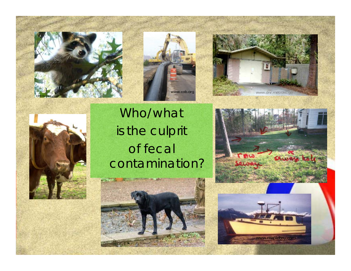







#### Who/what is the culprit of fecal contamination?





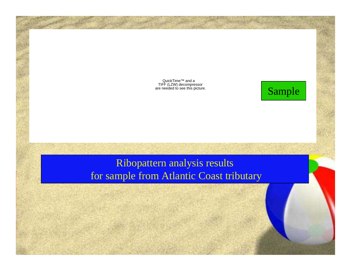QuickTime™ and a TIFF (LZW) decompressor are needed to see this picture.

#### Sample

#### Ribopattern analysis results for sample from Atlantic Coast tributary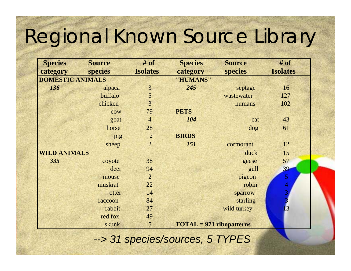# Regional Known Source Library

| <b>Species</b>          | <b>Source</b> | $#$ of          | <b>Species</b>                      | <b>Source</b>  | $#$ of          |
|-------------------------|---------------|-----------------|-------------------------------------|----------------|-----------------|
| category                | species       | <b>Isolates</b> | category                            | <b>species</b> | <b>Isolates</b> |
| <b>DOMESTIC ANIMALS</b> |               |                 | "HUMANS"                            |                |                 |
| 136                     | alpaca        | $\overline{3}$  | 245                                 | septage        | 16              |
|                         | buffalo       | 5               |                                     | wastewater     | 127             |
|                         | chicken       | $\overline{3}$  |                                     | humans         | 102             |
|                         | cow           | 79              | <b>PETS</b>                         |                |                 |
|                         | goat          | $\overline{4}$  | 104                                 | cat            | 43              |
|                         | horse         | 28              |                                     | dog            | 61              |
|                         | pig           | 12              | <b>BIRDS</b>                        |                |                 |
|                         | sheep         | $\overline{2}$  | 151                                 | cormorant      | 12              |
| <b>WILD ANIMALS</b>     |               |                 |                                     | duck           | 15              |
| 335                     | coyote        | 38              |                                     | geese          | 57              |
|                         | deer          | 94              |                                     | gull           | 39              |
|                         | mouse         | $\overline{2}$  |                                     | pigeon         | 5               |
|                         | muskrat       | 22              |                                     | robin          | 4               |
|                         | otter         | 14              |                                     | sparrow        | 3               |
|                         | raccoon       | 84              |                                     | starling       |                 |
|                         | rabbit        | 27              |                                     | wild turkey    | [3              |
|                         | red fox       | 49              |                                     |                |                 |
|                         | skunk         | 5               | $\textbf{TOTAL} = 971$ ribopatterns |                |                 |

*--> 31 species/sources, 5 TYPES*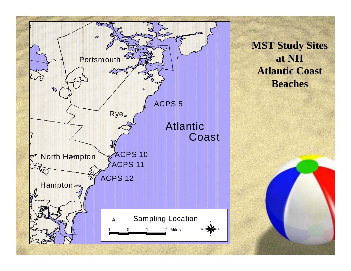

**MST Study Sites at NH Atlantic Coast Beaches**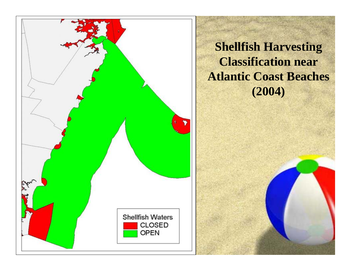

**Shellfish Harvesting Classification near Atlantic Coast Beaches (2004)**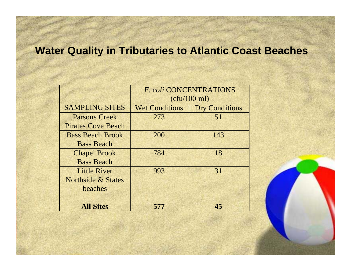#### **Water Quality in Tributaries to Atlantic Coast Beaches**

|                               | E. coli CONCENTRATIONS<br>(ctu/100 ml) |                       |  |
|-------------------------------|----------------------------------------|-----------------------|--|
| <b>SAMPLING SITES</b>         | <b>Wet Conditions</b>                  | <b>Dry Conditions</b> |  |
| <b>Parsons Creek</b>          | 273                                    | 51                    |  |
| <b>Pirates Cove Beach</b>     |                                        |                       |  |
| <b>Bass Beach Brook</b>       | 200                                    | 143                   |  |
| <b>Bass Beach</b>             |                                        |                       |  |
| <b>Chapel Brook</b>           | 784                                    | 18                    |  |
| <b>Bass Beach</b>             |                                        |                       |  |
| <b>Little River</b>           | 993                                    | 31                    |  |
| <b>Northside &amp; States</b> |                                        |                       |  |
| beaches                       |                                        |                       |  |
|                               |                                        |                       |  |
| <b>All Sites</b>              | 577                                    |                       |  |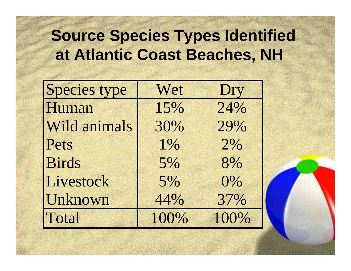#### **Source Species Types Identified at Atlantic Coast Beaches, NH**

| <b>Species type</b> | Wet  | Dry  |
|---------------------|------|------|
| Human               | 15%  | 24%  |
| Wild animals        | 30%  | 29%  |
| Pets                | 1%   | 2%   |
| <b>Birds</b>        | 5%   | 8%   |
| Livestock           | 5%   | 0%   |
| Unknown             | 44%  | 37%  |
| Total               | 100% | 100% |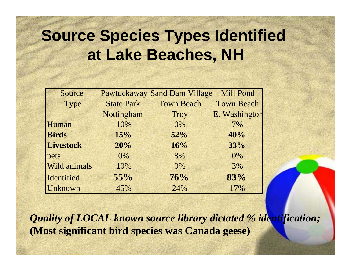#### **Source Species Types Identified at Lake Beaches, NH**

| Source       | Pawtuckaway       | <b>Sand Dam Village</b> | <b>Mill Pond</b>  |
|--------------|-------------------|-------------------------|-------------------|
| Type         | <b>State Park</b> | <b>Town Beach</b>       | <b>Town Beach</b> |
|              | Nottingham        | <b>Troy</b>             | E. Washington     |
| Human        | 10%               | $0\%$                   | 7%                |
| <b>Birds</b> | 15%               | 52%                     | 40%               |
| Livestock    | 20%               | 16%                     | 33%               |
| pets         | $0\%$             | 8%                      | $0\%$             |
| Wild animals | 10%               | 0%                      | 3%                |
| Identified   | 55%               | 76%                     | 83%               |
| Unknown      | 45%               | 24%                     | 17%               |

*Quality of LOCAL known source library dictated % identification;* **(Most significant bird species was Canada geese)**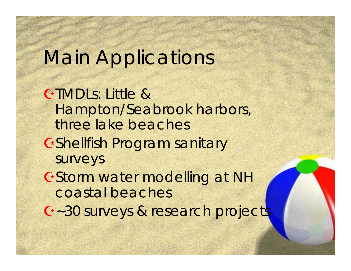## Main Applications

TMDLs: Little & Hampton/Seabrook harbors, three lake beachesShellfish Program sanitary surveys GStorm water modelling at NH coastal beaches ~30 surveys & research projects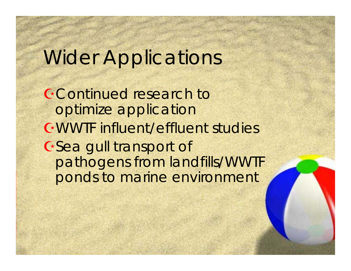#### Wider Applications

Continued research to optimize application WWTF influent/effluent studies Gea gull transport of pathogens from landfills/WWTF ponds to marine environment